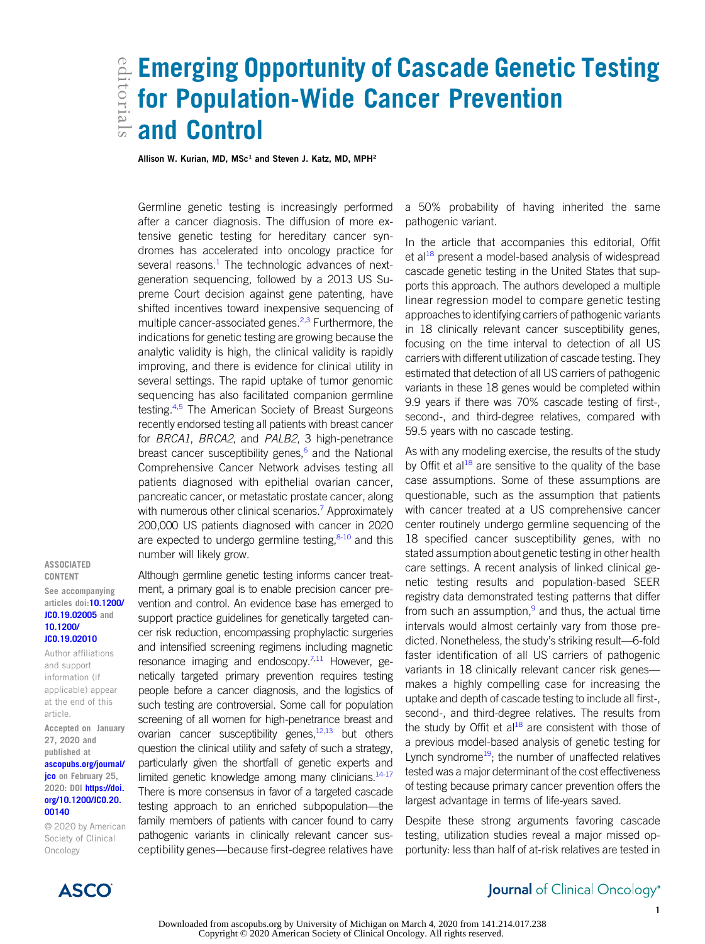# edials Emerging Opportunity of Cascade Genetic Testing<br>Editor Population-Wide Cancer Prevention<br>Exand Control for Population-Wide Cancer Prevention and Control

Allison W. Kurian, MD,  $MSc<sup>1</sup>$  and Steven J. Katz, MD,  $MPH<sup>2</sup>$ 

Germline genetic testing is increasingly performed after a cancer diagnosis. The diffusion of more extensive genetic testing for hereditary cancer syndromes has accelerated into oncology practice for several reasons.<sup>[1](#page-2-0)</sup> The technologic advances of nextgeneration sequencing, followed by a 2013 US Supreme Court decision against gene patenting, have shifted incentives toward inexpensive sequencing of multiple cancer-associated genes. $2,3$  $2,3$  Furthermore, the indications for genetic testing are growing because the analytic validity is high, the clinical validity is rapidly improving, and there is evidence for clinical utility in several settings. The rapid uptake of tumor genomic sequencing has also facilitated companion germline testing.<sup>[4](#page-2-3)[,5](#page-2-4)</sup> The American Society of Breast Surgeons recently endorsed testing all patients with breast cancer for BRCA1, BRCA2, and PALB2, 3 high-penetrance breast cancer susceptibility genes,<sup>6</sup> and the National Comprehensive Cancer Network advises testing all patients diagnosed with epithelial ovarian cancer, pancreatic cancer, or metastatic prostate cancer, along with numerous other clinical scenarios.<sup>[7](#page-2-6)</sup> Approximately 200,000 US patients diagnosed with cancer in 2020 are expected to undergo germline testing,<sup>8-[10](#page-2-8)</sup> and this number will likely grow.

# ASSOCIATED CONTENT See accompanying articles doi:[10.1200/](http://ascopubs.org/doi/full/10.1200/JCO.19.02005) [JCO.19.02005](http://ascopubs.org/doi/full/10.1200/JCO.19.02005) and [10.1200/](http://ascopubs.org/doi/full/10.1200/JCO.19.02010) [JCO.19.02010](http://ascopubs.org/doi/full/10.1200/JCO.19.02010)

Author affiliations and support information (if applicable) appear at the end of this article.

Accepted on January 27, 2020 and published at

# [ascopubs.org/journal/](http://ascopubs.org/journal/jco) [jco](http://ascopubs.org/journal/jco) on February 25, 2020: DOI [https://doi.](http://ascopubs.org/doi/full/10.1200/JCO.20.00140) [org/10.1200/JCO.20.](http://ascopubs.org/doi/full/10.1200/JCO.20.00140) [00140](http://ascopubs.org/doi/full/10.1200/JCO.20.00140)

© 2020 by American Society of Clinical Oncology

Although germline genetic testing informs cancer treatment, a primary goal is to enable precision cancer prevention and control. An evidence base has emerged to support practice guidelines for genetically targeted cancer risk reduction, encompassing prophylactic surgeries and intensified screening regimens including magnetic resonance imaging and endoscopy.<sup>7,[11](#page-2-9)</sup> However, genetically targeted primary prevention requires testing people before a cancer diagnosis, and the logistics of such testing are controversial. Some call for population screening of all women for high-penetrance breast and ovarian cancer susceptibility genes, $12,13$  $12,13$  but others question the clinical utility and safety of such a strategy, particularly given the shortfall of genetic experts and limited genetic knowledge among many clinicians.<sup>[14-](#page-2-12)[17](#page-2-13)</sup> There is more consensus in favor of a targeted cascade testing approach to an enriched subpopulation—the family members of patients with cancer found to carry pathogenic variants in clinically relevant cancer susceptibility genes—because first-degree relatives have

a 50% probability of having inherited the same pathogenic variant.

In the article that accompanies this editorial, Offit et al<sup>[18](#page-2-14)</sup> present a model-based analysis of widespread cascade genetic testing in the United States that supports this approach. The authors developed a multiple linear regression model to compare genetic testing approaches to identifying carriers of pathogenic variants in 18 clinically relevant cancer susceptibility genes, focusing on the time interval to detection of all US carriers with different utilization of cascade testing. They estimated that detection of all US carriers of pathogenic variants in these 18 genes would be completed within 9.9 years if there was 70% cascade testing of first-, second-, and third-degree relatives, compared with 59.5 years with no cascade testing.

As with any modeling exercise, the results of the study by Offit et al<sup>[18](#page-2-14)</sup> are sensitive to the quality of the base case assumptions. Some of these assumptions are questionable, such as the assumption that patients with cancer treated at a US comprehensive cancer center routinely undergo germline sequencing of the 18 specified cancer susceptibility genes, with no stated assumption about genetic testing in other health care settings. A recent analysis of linked clinical genetic testing results and population-based SEER registry data demonstrated testing patterns that differ from such an assumption, $9$  and thus, the actual time intervals would almost certainly vary from those predicted. Nonetheless, the study's striking result—6-fold faster identification of all US carriers of pathogenic variants in 18 clinically relevant cancer risk genes makes a highly compelling case for increasing the uptake and depth of cascade testing to include all first-, second-, and third-degree relatives. The results from the study by Offit et  $al^{18}$  are consistent with those of a previous model-based analysis of genetic testing for Lynch syndrome $19$ ; the number of unaffected relatives tested was a major determinant of the cost effectiveness of testing because primary cancer prevention offers the largest advantage in terms of life-years saved.

Despite these strong arguments favoring cascade testing, utilization studies reveal a major missed opportunity: less than half of at-risk relatives are tested in



# Journal of Clinical Oncology®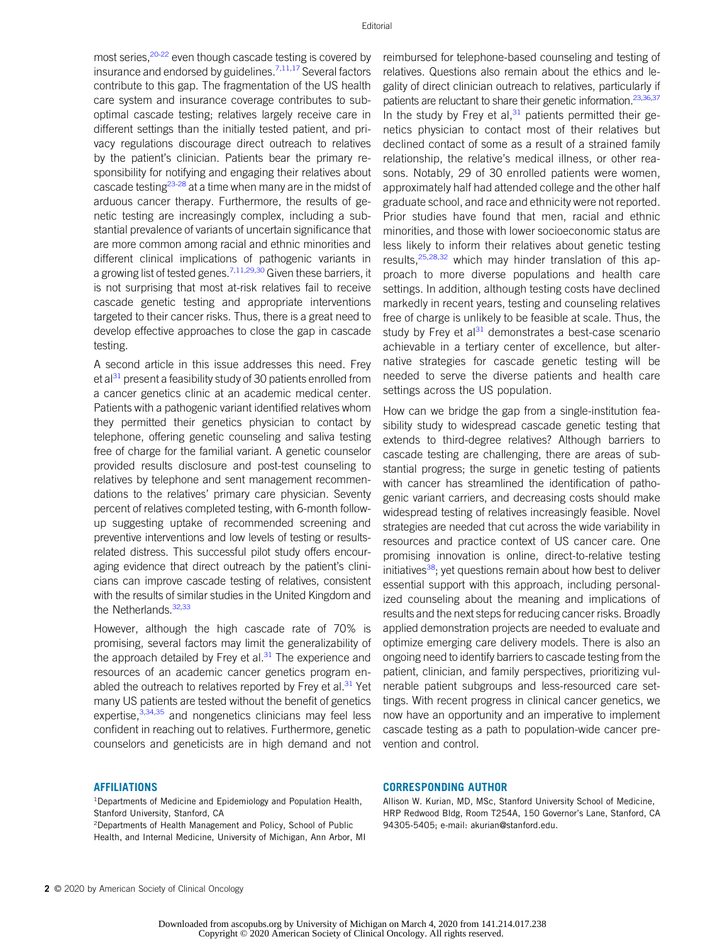most series,<sup>[20](#page-2-17)[-22](#page-2-18)</sup> even though cascade testing is covered by insurance and endorsed by guidelines.<sup>[7](#page-2-6),[11,](#page-2-9)[17](#page-2-13)</sup> Several factors contribute to this gap. The fragmentation of the US health care system and insurance coverage contributes to suboptimal cascade testing; relatives largely receive care in different settings than the initially tested patient, and privacy regulations discourage direct outreach to relatives by the patient's clinician. Patients bear the primary responsibility for notifying and engaging their relatives about cascade testing<sup>[23-](#page-2-19)[28](#page-2-20)</sup> at a time when many are in the midst of arduous cancer therapy. Furthermore, the results of genetic testing are increasingly complex, including a substantial prevalence of variants of uncertain significance that are more common among racial and ethnic minorities and different clinical implications of pathogenic variants in a growing list of tested genes.<sup>[7](#page-2-6),[11,](#page-2-9)[29](#page-2-21),[30](#page-2-22)</sup> Given these barriers, it is not surprising that most at-risk relatives fail to receive cascade genetic testing and appropriate interventions targeted to their cancer risks. Thus, there is a great need to develop effective approaches to close the gap in cascade testing.

A second article in this issue addresses this need. Frey et al $31$  present a feasibility study of 30 patients enrolled from a cancer genetics clinic at an academic medical center. Patients with a pathogenic variant identified relatives whom they permitted their genetics physician to contact by telephone, offering genetic counseling and saliva testing free of charge for the familial variant. A genetic counselor provided results disclosure and post-test counseling to relatives by telephone and sent management recommendations to the relatives' primary care physician. Seventy percent of relatives completed testing, with 6-month followup suggesting uptake of recommended screening and preventive interventions and low levels of testing or resultsrelated distress. This successful pilot study offers encouraging evidence that direct outreach by the patient's clinicians can improve cascade testing of relatives, consistent with the results of similar studies in the United Kingdom and the Netherlands.<sup>32[,33](#page-3-1)</sup>

However, although the high cascade rate of 70% is promising, several factors may limit the generalizability of the approach detailed by Frey et al. $31$  The experience and resources of an academic cancer genetics program enabled the outreach to relatives reported by Frey et al. $31$  Yet many US patients are tested without the benefit of genetics expertise, $3,34,35$  $3,34,35$  $3,34,35$  $3,34,35$  and nongenetics clinicians may feel less confident in reaching out to relatives. Furthermore, genetic counselors and geneticists are in high demand and not

# reimbursed for telephone-based counseling and testing of relatives. Questions also remain about the ethics and legality of direct clinician outreach to relatives, particularly if patients are reluctant to share their genetic information.<sup>23[,36](#page-3-4)[,37](#page-3-5)</sup> In the study by Frey et al,  $31$  patients permitted their genetics physician to contact most of their relatives but declined contact of some as a result of a strained family relationship, the relative's medical illness, or other reasons. Notably, 29 of 30 enrolled patients were women, approximately half had attended college and the other half graduate school, and race and ethnicity were not reported. Prior studies have found that men, racial and ethnic minorities, and those with lower socioeconomic status are less likely to inform their relatives about genetic testing results,<sup>[25](#page-2-24),[28](#page-2-20),[32](#page-3-0)</sup> which may hinder translation of this approach to more diverse populations and health care settings. In addition, although testing costs have declined markedly in recent years, testing and counseling relatives free of charge is unlikely to be feasible at scale. Thus, the study by Frey et al $31$  demonstrates a best-case scenario achievable in a tertiary center of excellence, but alternative strategies for cascade genetic testing will be needed to serve the diverse patients and health care settings across the US population.

How can we bridge the gap from a single-institution feasibility study to widespread cascade genetic testing that extends to third-degree relatives? Although barriers to cascade testing are challenging, there are areas of substantial progress; the surge in genetic testing of patients with cancer has streamlined the identification of pathogenic variant carriers, and decreasing costs should make widespread testing of relatives increasingly feasible. Novel strategies are needed that cut across the wide variability in resources and practice context of US cancer care. One promising innovation is online, direct-to-relative testing initiatives<sup>[38](#page-3-6)</sup>; yet questions remain about how best to deliver essential support with this approach, including personalized counseling about the meaning and implications of results and the next steps for reducing cancer risks. Broadly applied demonstration projects are needed to evaluate and optimize emerging care delivery models. There is also an ongoing need to identify barriers to cascade testing from the patient, clinician, and family perspectives, prioritizing vulnerable patient subgroups and less-resourced care settings. With recent progress in clinical cancer genetics, we now have an opportunity and an imperative to implement cascade testing as a path to population-wide cancer prevention and control.

# **AFFILIATIONS**

<sup>1</sup>Departments of Medicine and Epidemiology and Population Health, Stanford University, Stanford, CA

2 Departments of Health Management and Policy, School of Public Health, and Internal Medicine, University of Michigan, Ann Arbor, MI

# CORRESPONDING AUTHOR

Allison W. Kurian, MD, MSc, Stanford University School of Medicine, HRP Redwood Bldg, Room T254A, 150 Governor's Lane, Stanford, CA 94305-5405; e-mail: [akurian@stanford.edu.](mailto:akurian@stanford.edu)

2 © 2020 by American Society of Clinical Oncology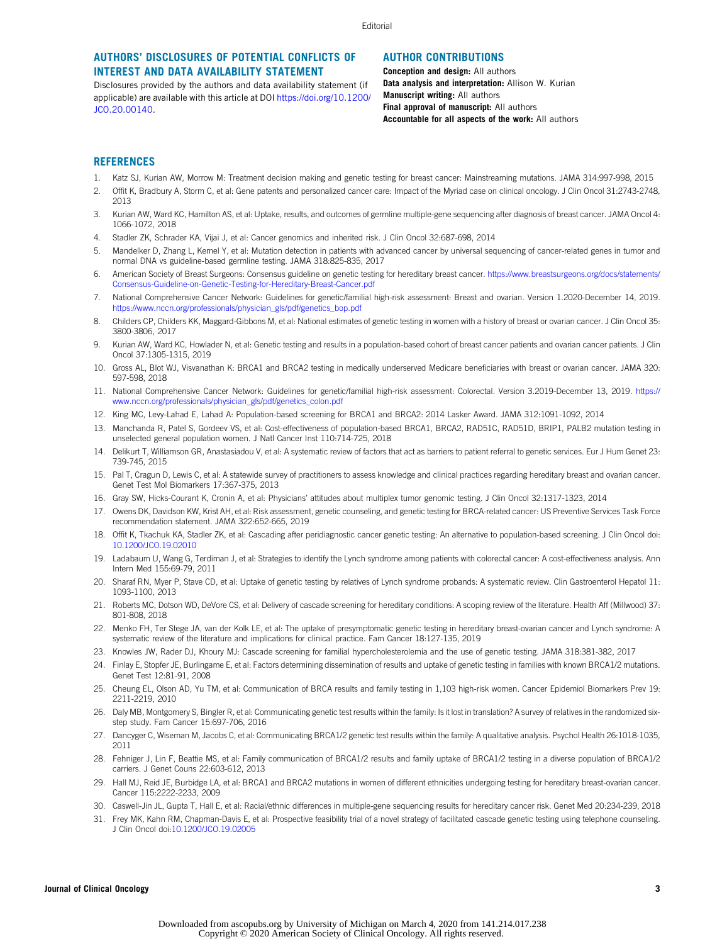# AUTHORS' DISCLOSURES OF POTENTIAL CONFLICTS OF INTEREST AND DATA AVAILABILITY STATEMENT

Disclosures provided by the authors and data availability statement (if applicable) are available with this article at DOI [https://doi.org/10.1200/](https://ascopubs.org/doi/full/10.1200/JCO.20.00140) [JCO.20.00140.](https://ascopubs.org/doi/full/10.1200/JCO.20.00140)

# AUTHOR CONTRIBUTIONS

Conception and design: All authors Data analysis and interpretation: Allison W. Kurian Manuscript writing: All authors Final approval of manuscript: All authors Accountable for all aspects of the work: All authors

# **REFERENCES**

- <span id="page-2-0"></span>1. Katz SJ, Kurian AW, Morrow M: Treatment decision making and genetic testing for breast cancer: Mainstreaming mutations. JAMA 314:997-998, 2015
- <span id="page-2-1"></span>2. Offit K, Bradbury A, Storm C, et al: Gene patents and personalized cancer care: Impact of the Myriad case on clinical oncology. J Clin Oncol 31:2743-2748, 2013
- <span id="page-2-2"></span>3. Kurian AW, Ward KC, Hamilton AS, et al: Uptake, results, and outcomes of germline multiple-gene sequencing after diagnosis of breast cancer. JAMA Oncol 4: 1066-1072, 2018
- <span id="page-2-3"></span>4. Stadler ZK, Schrader KA, Vijai J, et al: Cancer genomics and inherited risk. J Clin Oncol 32:687-698, 2014
- <span id="page-2-4"></span>5. Mandelker D, Zhang L, Kemel Y, et al: Mutation detection in patients with advanced cancer by universal sequencing of cancer-related genes in tumor and normal DNA vs guideline-based germline testing. JAMA 318:825-835, 2017
- <span id="page-2-5"></span>6. American Society of Breast Surgeons: Consensus guideline on genetic testing for hereditary breast cancer. [https://www.breastsurgeons.org/docs/statements/](https://www.breastsurgeons.org/docs/statements/Consensus-Guideline-on-Genetic-Testing-for-Hereditary-Breast-Cancer.pdf) [Consensus-Guideline-on-Genetic-Testing-for-Hereditary-Breast-Cancer.pdf](https://www.breastsurgeons.org/docs/statements/Consensus-Guideline-on-Genetic-Testing-for-Hereditary-Breast-Cancer.pdf)
- <span id="page-2-6"></span>7. National Comprehensive Cancer Network: Guidelines for genetic/familial high-risk assessment: Breast and ovarian. Version 1.2020-December 14, 2019. [https://www.nccn.org/professionals/physician\\_gls/pdf/genetics\\_bop.pdf](https://www.nccn.org/professionals/physician_gls/pdf/genetics_bop.pdf)
- <span id="page-2-7"></span>8. Childers CP, Childers KK, Maggard-Gibbons M, et al: National estimates of genetic testing in women with a history of breast or ovarian cancer. J Clin Oncol 35: 3800-3806, 2017
- <span id="page-2-15"></span>9. Kurian AW, Ward KC, Howlader N, et al: Genetic testing and results in a population-based cohort of breast cancer patients and ovarian cancer patients. J Clin Oncol 37:1305-1315, 2019
- <span id="page-2-8"></span>10. Gross AL, Blot WJ, Visvanathan K: BRCA1 and BRCA2 testing in medically underserved Medicare beneficiaries with breast or ovarian cancer. JAMA 320: 597-598, 2018
- <span id="page-2-9"></span>11. National Comprehensive Cancer Network: Guidelines for genetic/familial high-risk assessment: Colorectal. Version 3.2019-December 13, 2019. [https://](https://www.nccn.org/professionals/physician_gls/pdf/genetics_colon.pdf) [www.nccn.org/professionals/physician\\_gls/pdf/genetics\\_colon.pdf](https://www.nccn.org/professionals/physician_gls/pdf/genetics_colon.pdf)
- <span id="page-2-10"></span>12. King MC, Levy-Lahad E, Lahad A: Population-based screening for BRCA1 and BRCA2: 2014 Lasker Award. JAMA 312:1091-1092, 2014
- <span id="page-2-11"></span>13. Manchanda R, Patel S, Gordeev VS, et al: Cost-effectiveness of population-based BRCA1, BRCA2, RAD51C, RAD51D, BRIP1, PALB2 mutation testing in unselected general population women. J Natl Cancer Inst 110:714-725, 2018
- <span id="page-2-12"></span>14. Delikurt T, Williamson GR, Anastasiadou V, et al: A systematic review of factors that act as barriers to patient referral to genetic services. Eur J Hum Genet 23: 739-745, 2015
- 15. Pal T, Cragun D, Lewis C, et al: A statewide survey of practitioners to assess knowledge and clinical practices regarding hereditary breast and ovarian cancer. Genet Test Mol Biomarkers 17:367-375, 2013
- 16. Gray SW, Hicks-Courant K, Cronin A, et al: Physicians' attitudes about multiplex tumor genomic testing. J Clin Oncol 32:1317-1323, 2014
- <span id="page-2-13"></span>17. Owens DK, Davidson KW, Krist AH, et al: Risk assessment, genetic counseling, and genetic testing for BRCA-related cancer: US Preventive Services Task Force recommendation statement. JAMA 322:652-665, 2019
- <span id="page-2-14"></span>18. Offit K, Tkachuk KA, Stadler ZK, et al: Cascading after peridiagnostic cancer genetic testing: An alternative to population-based screening. J Clin Oncol doi: [10.1200/JCO.19.02010](http://dx.doi.org/10.1200/JCO.19.02010)
- <span id="page-2-16"></span>19. Ladabaum U, Wang G, Terdiman J, et al: Strategies to identify the Lynch syndrome among patients with colorectal cancer: A cost-effectiveness analysis. Ann Intern Med 155:69-79, 2011
- <span id="page-2-17"></span>20. Sharaf RN, Myer P, Stave CD, et al: Uptake of genetic testing by relatives of Lynch syndrome probands: A systematic review. Clin Gastroenterol Hepatol 11: 1093-1100, 2013
- 21. Roberts MC, Dotson WD, DeVore CS, et al: Delivery of cascade screening for hereditary conditions: A scoping review of the literature. Health Aff (Millwood) 37: 801-808, 2018
- <span id="page-2-18"></span>22. Menko FH, Ter Stege JA, van der Kolk LE, et al: The uptake of presymptomatic genetic testing in hereditary breast-ovarian cancer and Lynch syndrome: A systematic review of the literature and implications for clinical practice. Fam Cancer 18:127-135, 2019
- <span id="page-2-19"></span>23. Knowles JW, Rader DJ, Khoury MJ: Cascade screening for familial hypercholesterolemia and the use of genetic testing. JAMA 318:381-382, 2017
- 24. Finlay E, Stopfer JE, Burlingame E, et al: Factors determining dissemination of results and uptake of genetic testing in families with known BRCA1/2 mutations. Genet Test 12:81-91, 2008
- <span id="page-2-24"></span>25. Cheung EL, Olson AD, Yu TM, et al: Communication of BRCA results and family testing in 1,103 high-risk women. Cancer Epidemiol Biomarkers Prev 19: 2211-2219, 2010
- 26. Daly MB, Montgomery S, Bingler R, et al: Communicating genetic test results within the family: Is it lost in translation? A survey of relatives in the randomized sixstep study. Fam Cancer 15:697-706, 2016
- 27. Dancyger C, Wiseman M, Jacobs C, et al: Communicating BRCA1/2 genetic test results within the family: A qualitative analysis. Psychol Health 26:1018-1035, 2011
- <span id="page-2-20"></span>28. Fehniger J, Lin F, Beattie MS, et al: Family communication of BRCA1/2 results and family uptake of BRCA1/2 testing in a diverse population of BRCA1/2 carriers. J Genet Couns 22:603-612, 2013
- <span id="page-2-21"></span>29. Hall MJ, Reid JE, Burbidge LA, et al: BRCA1 and BRCA2 mutations in women of different ethnicities undergoing testing for hereditary breast-ovarian cancer. Cancer 115:2222-2233, 2009
- <span id="page-2-22"></span>30. Caswell-Jin JL, Gupta T, Hall E, et al: Racial/ethnic differences in multiple-gene sequencing results for hereditary cancer risk. Genet Med 20:234-239, 2018
- <span id="page-2-23"></span>31. Frey MK, Kahn RM, Chapman-Davis E, et al: Prospective feasibility trial of a novel strategy of facilitated cascade genetic testing using telephone counseling. J Clin Oncol doi[:10.1200/JCO.19.02005](http://dx.doi.org/10.1200/JCO.19.02005)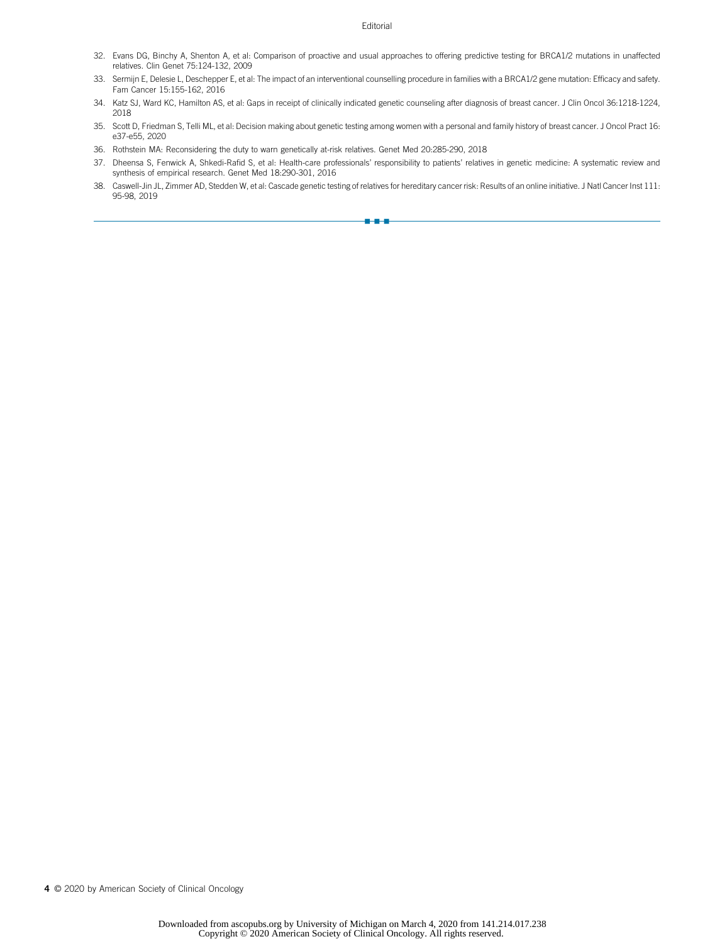### Editorial

- <span id="page-3-0"></span>32. Evans DG, Binchy A, Shenton A, et al: Comparison of proactive and usual approaches to offering predictive testing for BRCA1/2 mutations in unaffected relatives. Clin Genet 75:124-132, 2009
- <span id="page-3-1"></span>33. Sermijn E, Delesie L, Deschepper E, et al: The impact of an interventional counselling procedure in families with a BRCA1/2 gene mutation: Efficacy and safety. Fam Cancer 15:155-162, 2016
- <span id="page-3-2"></span>34. Katz SJ, Ward KC, Hamilton AS, et al: Gaps in receipt of clinically indicated genetic counseling after diagnosis of breast cancer. J Clin Oncol 36:1218-1224, 2018
- <span id="page-3-3"></span>35. Scott D, Friedman S, Telli ML, et al: Decision making about genetic testing among women with a personal and family history of breast cancer. J Oncol Pract 16: e37-e55, 2020
- <span id="page-3-4"></span>36. Rothstein MA: Reconsidering the duty to warn genetically at-risk relatives. Genet Med 20:285-290, 2018
- <span id="page-3-5"></span>37. Dheensa S, Fenwick A, Shkedi-Rafid S, et al: Health-care professionals' responsibility to patients' relatives in genetic medicine: A systematic review and synthesis of empirical research. Genet Med 18:290-301, 2016
- <span id="page-3-6"></span>38. Caswell-Jin JL, Zimmer AD, Stedden W, et al: Cascade genetic testing of relatives for hereditary cancer risk: Results of an online initiative. J Natl Cancer Inst 111: 95-98, 2019

nnn

4 © 2020 by American Society of Clinical Oncology